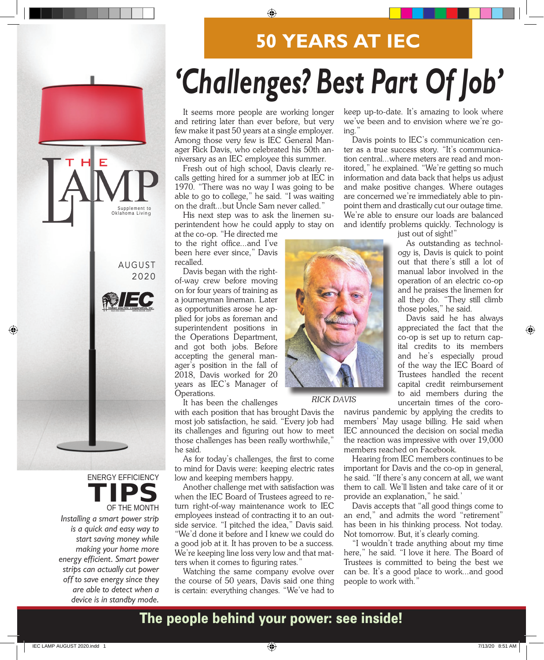## **50 YEARS AT IEC**

# **'Challenges? Best Part Of Job'**

It seems more people are working longer and retiring later than ever before, but very few make it past 50 years at a single employer. Among those very few is IEC General Manager Rick Davis, who celebrated his 50th anniversary as an IEC employee this summer.

Fresh out of high school, Davis clearly recalls getting hired for a summer job at IEC in 1970. "There was no way I was going to be able to go to college," he said. "I was waiting on the draft...but Uncle Sam never called."

His next step was to ask the linemen superintendent how he could apply to stay on

at the co-op. "He directed me to the right office...and I've been here ever since," Davis recalled.

Davis began with the rightof-way crew before moving on for four years of training as a journeyman lineman. Later as opportunities arose he applied for jobs as foreman and superintendent positions in the Operations Department, and got both jobs. Before accepting the general manager's position in the fall of 2018, Davis worked for 20 years as IEC's Manager of Operations.

It has been the challenges

with each position that has brought Davis the most job satisfaction, he said. "Every job had its challenges and figuring out how to meet those challenges has been really worthwhile," he said.

As for today's challenges, the first to come to mind for Davis were: keeping electric rates low and keeping members happy.

Another challenge met with satisfaction was when the IEC Board of Trustees agreed to return right-of-way maintenance work to IEC employees instead of contracting it to an outside service. "I pitched the idea," Davis said. "We'd done it before and I knew we could do a good job at it. It has proven to be a success. We're keeping line loss very low and that matters when it comes to figuring rates."

Watching the same company evolve over the course of 50 years, Davis said one thing is certain: everything changes. "We've had to

keep up-to-date. It's amazing to look where we've been and to envision where we're going."

Davis points to IEC's communication center as a true success story. "It's communication central...where meters are read and monitored," he explained. "We're getting so much information and data back that helps us adjust and make positive changes. Where outages are concerned we're immediately able to pinpoint them and drastically cut our outage time. We're able to ensure our loads are balanced and identify problems quickly. Technology is

just out of sight!"

As outstanding as technology is, Davis is quick to point out that there's still a lot of manual labor involved in the operation of an electric co-op and he praises the linemen for all they do. "They still climb those poles," he said.

Davis said he has always appreciated the fact that the co-op is set up to return capital credits to its members and he's especially proud of the way the IEC Board of Trustees handled the recent capital credit reimbursement to aid members during the uncertain times of the coro-

navirus pandemic by applying the credits to members' May usage billing. He said when IEC announced the decision on social media the reaction was impressive with over 19,000 members reached on Facebook.

Hearing from IEC members continues to be important for Davis and the co-op in general, he said. "If there's any concern at all, we want them to call. We'll listen and take care of it or provide an explanation," he said.'

Davis accepts that "all good things come to an end," and admits the word "retirement" has been in his thinking process. Not today. Not tomorrow. But, it's clearly coming.

"I wouldn't trade anything about my time here," he said. "I love it here. The Board of Trustees is committed to being the best we can be. It's a good place to work...and good people to work with."

## The people behind your power: see inside!



*RICK DAVIS*



### ENERGY EFFICIENCY TIPS OF THE MONTH

Installing a smart power strip is a quick and easy way to start saving money while making your home more energy efficient. Smart power strips can actually cut power off to save energy since they are able to detect when a device is in standby mode.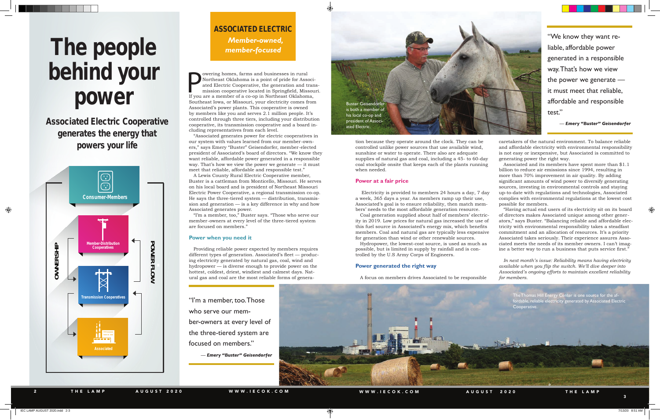## The people behind your power



If you are a member of a co-op in Northeast Oklahoma is a point of pride for Associated Electric Cooperative, the generation and transmission cooperative located in Springfield, Missou If you are a member of a co-op in Nor owering homes, farms and businesses in rural Northeast Oklahoma is a point of pride for Associated Electric Cooperative, the generation and transmission cooperative located in Springfield, Missouri. Southeast Iowa, or Missouri, your electricity comes from Associated's power plants. This cooperative is owned by members like you and serves 2.1 million people. It's controlled through three tiers, including your distribution cooperative, its transmission cooperative and a board including representatives from each level.

"Associated generates power for electric cooperatives in our system with values learned from our member-owners," says Emery "Buster" Geisendorfer, member-elected president of Associated's board of directors. "We know they want reliable, affordable power generated in a responsible way. That's how we view the power we generate — it must meet that reliable, affordable and responsible test."

A Lewis County Rural Electric Cooperative member, Buster is a cattleman from Monticello, Missouri. He serves on his local board and is president of Northeast Missouri Electric Power Cooperative, a regional transmission co-op. He says the three-tiered system — distribution, transmission and generation — is a key difference in why and how Associated generates power.

"I'm a member, too," Buster says. "Those who serve our member-owners at every level of the three-tiered system are focused on members."

#### **Power when you need it**

Providing reliable power expected by members requires different types of generation. Associated's fleet — producing electricity generated by natural gas, coal, wind and hydropower — is diverse enough to provide power on the hottest, coldest, driest, windiest and calmest days. Natural gas and coal are the most reliable forms of generation because they operate around the clock. They can be controlled unlike power sources that use available wind, sunshine or water to operate. There also are adequate supplies of natural gas and coal, including a 45- to 60-day coal stockpile onsite that keeps each of the plants running when needed.

#### **Power at a fair price**

 Electricity is provided to members 24 hours a day, 7 day a week, 365 days a year. As members ramp up their use, Associated's goal is to ensure reliability, then match members' needs to the most affordable generation resource.

Coal generation supplied about half of members' electricity in 2019. Low prices for natural gas increased the use of this fuel source in Associated's energy mix, which benefits members. Coal and natural gas are typically less expensive for generation than wind or other renewable sources.

Hydropower, the lowest-cost source, is used as much as possible, but is limited in supply by rainfall and is controlled by the U.S Army Corps of Engineers.

#### **Power generated the right way**

A focus on members drives Associated to be responsible



caretakers of the natural environment. To balance reliable and affordable electricity with environmental responsibility is not easy or inexpensive, but Associated is committed to generating power the right way.

Associated and its members have spent more than \$1.1 billion to reduce air emissions since 1994, resulting in more than 70% improvement in air quality. By adding significant amounts of wind power to diversify generating sources, investing in environmental controls and staying up-to-date with regulations and technologies, Associated complies with environmental regulations at the lowest cost possible for members.

"Having actual end users of its electricity sit on its board of directors makes Associated unique among other generators," says Buster. "Balancing reliable and affordable electricity with environmental responsibility takes a steadfast commitment and an allocation of resources. It's a priority Associated takes seriously. Their experience assures Associated meets the needs of its member owners. I can't imagine a better way to run a business that puts service first."

*In next month's issue: Reliability means having electricity available when you flip the switch. We'll dive deeper into Associated's ongoing efforts to maintain excellent reliability for members.*

"I'm a member, too. Those who serve our member-owners at every level of the three-tiered system are focused on members."

— *Emery "Buster" Geisendorfer*

"We know they want reliable, affordable power generated in a responsible way. That's how we view the power we generate it must meet that reliable, affordable and responsible test."

— *Emery "Buster" Geisendorfer*

### *Member-owned, member-focused* ASSOCIATED ELECTRIC

Associated Electric Cooperative generates the energy that powers your life



The Thomas Hill Energy Center is one source for the affordable, reliable electricity generated by Associated Electric Cooperative.

P